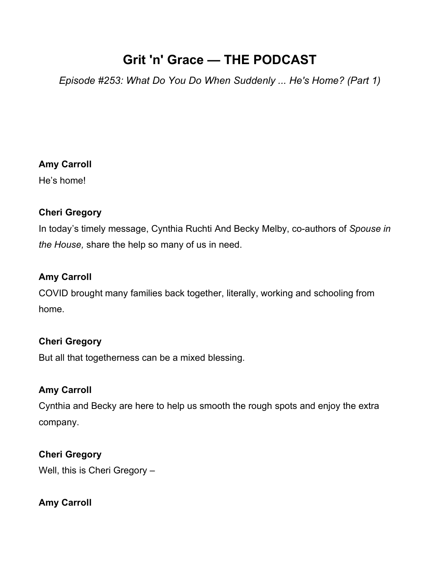# **Grit 'n' Grace — THE PODCAST**

*Episode #253: What Do You Do When Suddenly ... He's Home? (Part 1)*

## **Amy Carroll**

He's home!

## **Cheri Gregory**

In today's timely message, Cynthia Ruchti And Becky Melby, co-authors of *Spouse in the House,* share the help so many of us in need.

## **Amy Carroll**

COVID brought many families back together, literally, working and schooling from home.

## **Cheri Gregory**

But all that togetherness can be a mixed blessing.

## **Amy Carroll**

Cynthia and Becky are here to help us smooth the rough spots and enjoy the extra company.

## **Cheri Gregory**

Well, this is Cheri Gregory –

## **Amy Carroll**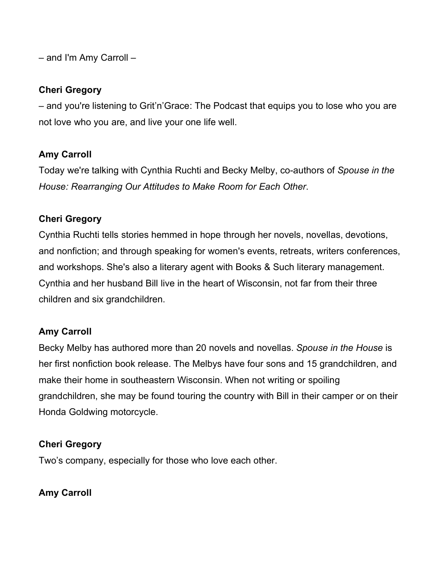– and I'm Amy Carroll –

### **Cheri Gregory**

– and you're listening to Grit'n'Grace: The Podcast that equips you to lose who you are not love who you are, and live your one life well.

## **Amy Carroll**

Today we're talking with Cynthia Ruchti and Becky Melby, co-authors of *Spouse in the House: Rearranging Our Attitudes to Make Room for Each Other*.

## **Cheri Gregory**

Cynthia Ruchti tells stories hemmed in hope through her novels, novellas, devotions, and nonfiction; and through speaking for women's events, retreats, writers conferences, and workshops. She's also a literary agent with Books & Such literary management. Cynthia and her husband Bill live in the heart of Wisconsin, not far from their three children and six grandchildren.

## **Amy Carroll**

Becky Melby has authored more than 20 novels and novellas. *Spouse in the House* is her first nonfiction book release. The Melbys have four sons and 15 grandchildren, and make their home in southeastern Wisconsin. When not writing or spoiling grandchildren, she may be found touring the country with Bill in their camper or on their Honda Goldwing motorcycle.

## **Cheri Gregory**

Two's company, especially for those who love each other.

## **Amy Carroll**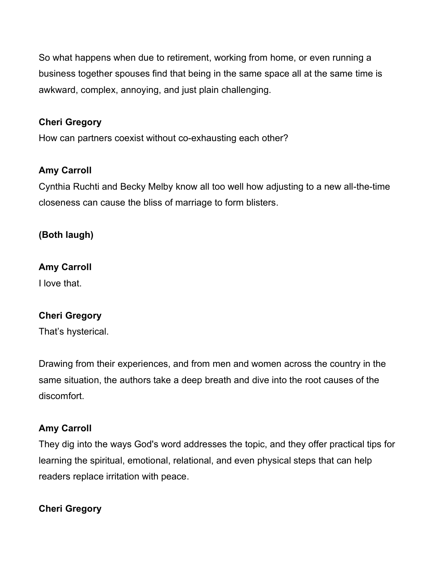So what happens when due to retirement, working from home, or even running a business together spouses find that being in the same space all at the same time is awkward, complex, annoying, and just plain challenging.

## **Cheri Gregory**

How can partners coexist without co-exhausting each other?

## **Amy Carroll**

Cynthia Ruchti and Becky Melby know all too well how adjusting to a new all-the-time closeness can cause the bliss of marriage to form blisters.

**(Both laugh)**

## **Amy Carroll**

I love that.

## **Cheri Gregory**

That's hysterical.

Drawing from their experiences, and from men and women across the country in the same situation, the authors take a deep breath and dive into the root causes of the discomfort.

## **Amy Carroll**

They dig into the ways God's word addresses the topic, and they offer practical tips for learning the spiritual, emotional, relational, and even physical steps that can help readers replace irritation with peace.

## **Cheri Gregory**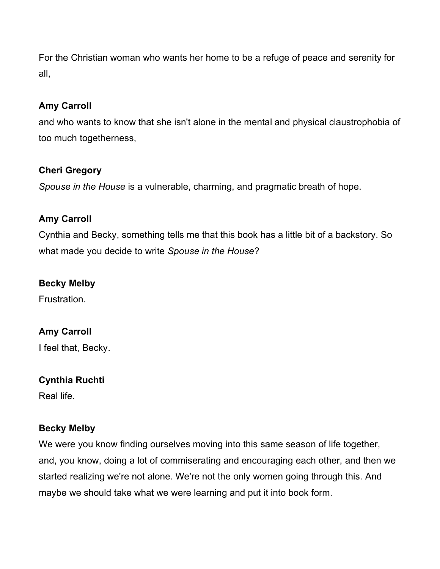For the Christian woman who wants her home to be a refuge of peace and serenity for all,

## **Amy Carroll**

and who wants to know that she isn't alone in the mental and physical claustrophobia of too much togetherness,

## **Cheri Gregory**

*Spouse in the House* is a vulnerable, charming, and pragmatic breath of hope.

## **Amy Carroll**

Cynthia and Becky, something tells me that this book has a little bit of a backstory. So what made you decide to write *Spouse in the House*?

### **Becky Melby**

Frustration.

## **Amy Carroll**

I feel that, Becky.

### **Cynthia Ruchti**

Real life.

### **Becky Melby**

We were you know finding ourselves moving into this same season of life together, and, you know, doing a lot of commiserating and encouraging each other, and then we started realizing we're not alone. We're not the only women going through this. And maybe we should take what we were learning and put it into book form.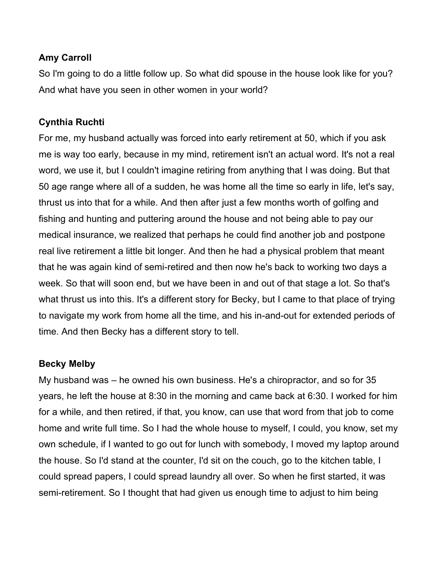## **Amy Carroll**

So I'm going to do a little follow up. So what did spouse in the house look like for you? And what have you seen in other women in your world?

## **Cynthia Ruchti**

For me, my husband actually was forced into early retirement at 50, which if you ask me is way too early, because in my mind, retirement isn't an actual word. It's not a real word, we use it, but I couldn't imagine retiring from anything that I was doing. But that 50 age range where all of a sudden, he was home all the time so early in life, let's say, thrust us into that for a while. And then after just a few months worth of golfing and fishing and hunting and puttering around the house and not being able to pay our medical insurance, we realized that perhaps he could find another job and postpone real live retirement a little bit longer. And then he had a physical problem that meant that he was again kind of semi-retired and then now he's back to working two days a week. So that will soon end, but we have been in and out of that stage a lot. So that's what thrust us into this. It's a different story for Becky, but I came to that place of trying to navigate my work from home all the time, and his in-and-out for extended periods of time. And then Becky has a different story to tell.

### **Becky Melby**

My husband was – he owned his own business. He's a chiropractor, and so for 35 years, he left the house at 8:30 in the morning and came back at 6:30. I worked for him for a while, and then retired, if that, you know, can use that word from that job to come home and write full time. So I had the whole house to myself, I could, you know, set my own schedule, if I wanted to go out for lunch with somebody, I moved my laptop around the house. So I'd stand at the counter, I'd sit on the couch, go to the kitchen table, I could spread papers, I could spread laundry all over. So when he first started, it was semi-retirement. So I thought that had given us enough time to adjust to him being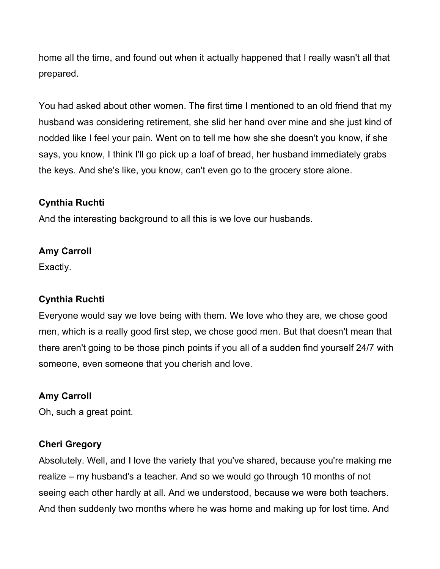home all the time, and found out when it actually happened that I really wasn't all that prepared.

You had asked about other women. The first time I mentioned to an old friend that my husband was considering retirement, she slid her hand over mine and she just kind of nodded like I feel your pain. Went on to tell me how she she doesn't you know, if she says, you know, I think I'll go pick up a loaf of bread, her husband immediately grabs the keys. And she's like, you know, can't even go to the grocery store alone.

## **Cynthia Ruchti**

And the interesting background to all this is we love our husbands.

## **Amy Carroll**

Exactly.

## **Cynthia Ruchti**

Everyone would say we love being with them. We love who they are, we chose good men, which is a really good first step, we chose good men. But that doesn't mean that there aren't going to be those pinch points if you all of a sudden find yourself 24/7 with someone, even someone that you cherish and love.

## **Amy Carroll**

Oh, such a great point.

## **Cheri Gregory**

Absolutely. Well, and I love the variety that you've shared, because you're making me realize – my husband's a teacher. And so we would go through 10 months of not seeing each other hardly at all. And we understood, because we were both teachers. And then suddenly two months where he was home and making up for lost time. And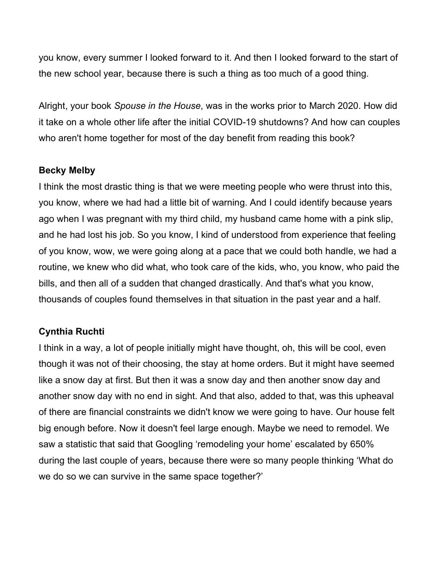you know, every summer I looked forward to it. And then I looked forward to the start of the new school year, because there is such a thing as too much of a good thing.

Alright, your book *Spouse in the House*, was in the works prior to March 2020. How did it take on a whole other life after the initial COVID-19 shutdowns? And how can couples who aren't home together for most of the day benefit from reading this book?

### **Becky Melby**

I think the most drastic thing is that we were meeting people who were thrust into this, you know, where we had had a little bit of warning. And I could identify because years ago when I was pregnant with my third child, my husband came home with a pink slip, and he had lost his job. So you know, I kind of understood from experience that feeling of you know, wow, we were going along at a pace that we could both handle, we had a routine, we knew who did what, who took care of the kids, who, you know, who paid the bills, and then all of a sudden that changed drastically. And that's what you know, thousands of couples found themselves in that situation in the past year and a half.

### **Cynthia Ruchti**

I think in a way, a lot of people initially might have thought, oh, this will be cool, even though it was not of their choosing, the stay at home orders. But it might have seemed like a snow day at first. But then it was a snow day and then another snow day and another snow day with no end in sight. And that also, added to that, was this upheaval of there are financial constraints we didn't know we were going to have. Our house felt big enough before. Now it doesn't feel large enough. Maybe we need to remodel. We saw a statistic that said that Googling 'remodeling your home' escalated by 650% during the last couple of years, because there were so many people thinking 'What do we do so we can survive in the same space together?'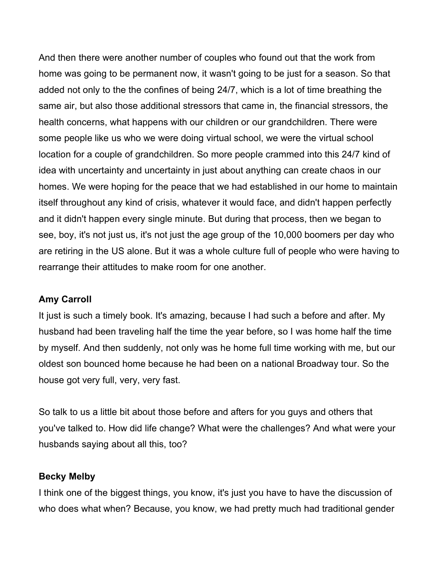And then there were another number of couples who found out that the work from home was going to be permanent now, it wasn't going to be just for a season. So that added not only to the the confines of being 24/7, which is a lot of time breathing the same air, but also those additional stressors that came in, the financial stressors, the health concerns, what happens with our children or our grandchildren. There were some people like us who we were doing virtual school, we were the virtual school location for a couple of grandchildren. So more people crammed into this 24/7 kind of idea with uncertainty and uncertainty in just about anything can create chaos in our homes. We were hoping for the peace that we had established in our home to maintain itself throughout any kind of crisis, whatever it would face, and didn't happen perfectly and it didn't happen every single minute. But during that process, then we began to see, boy, it's not just us, it's not just the age group of the 10,000 boomers per day who are retiring in the US alone. But it was a whole culture full of people who were having to rearrange their attitudes to make room for one another.

### **Amy Carroll**

It just is such a timely book. It's amazing, because I had such a before and after. My husband had been traveling half the time the year before, so I was home half the time by myself. And then suddenly, not only was he home full time working with me, but our oldest son bounced home because he had been on a national Broadway tour. So the house got very full, very, very fast.

So talk to us a little bit about those before and afters for you guys and others that you've talked to. How did life change? What were the challenges? And what were your husbands saying about all this, too?

#### **Becky Melby**

I think one of the biggest things, you know, it's just you have to have the discussion of who does what when? Because, you know, we had pretty much had traditional gender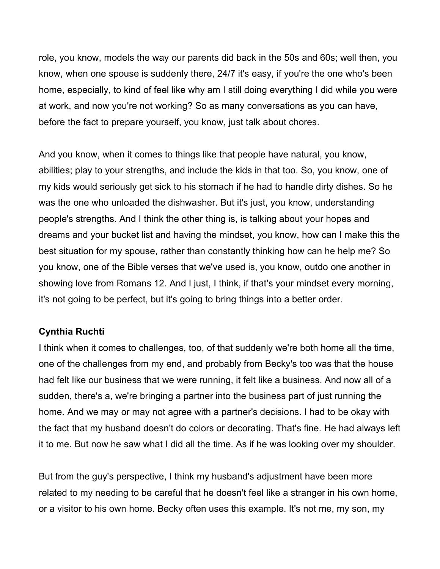role, you know, models the way our parents did back in the 50s and 60s; well then, you know, when one spouse is suddenly there, 24/7 it's easy, if you're the one who's been home, especially, to kind of feel like why am I still doing everything I did while you were at work, and now you're not working? So as many conversations as you can have, before the fact to prepare yourself, you know, just talk about chores.

And you know, when it comes to things like that people have natural, you know, abilities; play to your strengths, and include the kids in that too. So, you know, one of my kids would seriously get sick to his stomach if he had to handle dirty dishes. So he was the one who unloaded the dishwasher. But it's just, you know, understanding people's strengths. And I think the other thing is, is talking about your hopes and dreams and your bucket list and having the mindset, you know, how can I make this the best situation for my spouse, rather than constantly thinking how can he help me? So you know, one of the Bible verses that we've used is, you know, outdo one another in showing love from Romans 12. And I just, I think, if that's your mindset every morning, it's not going to be perfect, but it's going to bring things into a better order.

### **Cynthia Ruchti**

I think when it comes to challenges, too, of that suddenly we're both home all the time, one of the challenges from my end, and probably from Becky's too was that the house had felt like our business that we were running, it felt like a business. And now all of a sudden, there's a, we're bringing a partner into the business part of just running the home. And we may or may not agree with a partner's decisions. I had to be okay with the fact that my husband doesn't do colors or decorating. That's fine. He had always left it to me. But now he saw what I did all the time. As if he was looking over my shoulder.

But from the guy's perspective, I think my husband's adjustment have been more related to my needing to be careful that he doesn't feel like a stranger in his own home, or a visitor to his own home. Becky often uses this example. It's not me, my son, my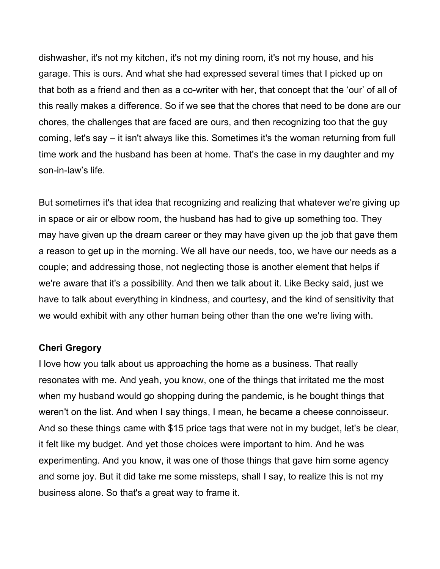dishwasher, it's not my kitchen, it's not my dining room, it's not my house, and his garage. This is ours. And what she had expressed several times that I picked up on that both as a friend and then as a co-writer with her, that concept that the 'our' of all of this really makes a difference. So if we see that the chores that need to be done are our chores, the challenges that are faced are ours, and then recognizing too that the guy coming, let's say – it isn't always like this. Sometimes it's the woman returning from full time work and the husband has been at home. That's the case in my daughter and my son-in-law's life.

But sometimes it's that idea that recognizing and realizing that whatever we're giving up in space or air or elbow room, the husband has had to give up something too. They may have given up the dream career or they may have given up the job that gave them a reason to get up in the morning. We all have our needs, too, we have our needs as a couple; and addressing those, not neglecting those is another element that helps if we're aware that it's a possibility. And then we talk about it. Like Becky said, just we have to talk about everything in kindness, and courtesy, and the kind of sensitivity that we would exhibit with any other human being other than the one we're living with.

#### **Cheri Gregory**

I love how you talk about us approaching the home as a business. That really resonates with me. And yeah, you know, one of the things that irritated me the most when my husband would go shopping during the pandemic, is he bought things that weren't on the list. And when I say things, I mean, he became a cheese connoisseur. And so these things came with \$15 price tags that were not in my budget, let's be clear, it felt like my budget. And yet those choices were important to him. And he was experimenting. And you know, it was one of those things that gave him some agency and some joy. But it did take me some missteps, shall I say, to realize this is not my business alone. So that's a great way to frame it.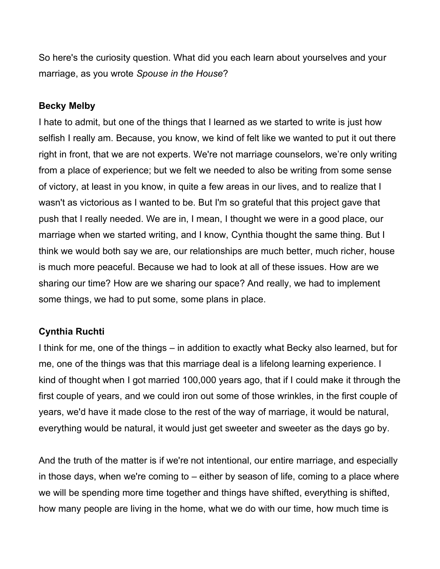So here's the curiosity question. What did you each learn about yourselves and your marriage, as you wrote *Spouse in the House*?

#### **Becky Melby**

I hate to admit, but one of the things that I learned as we started to write is just how selfish I really am. Because, you know, we kind of felt like we wanted to put it out there right in front, that we are not experts. We're not marriage counselors, we're only writing from a place of experience; but we felt we needed to also be writing from some sense of victory, at least in you know, in quite a few areas in our lives, and to realize that I wasn't as victorious as I wanted to be. But I'm so grateful that this project gave that push that I really needed. We are in, I mean, I thought we were in a good place, our marriage when we started writing, and I know, Cynthia thought the same thing. But I think we would both say we are, our relationships are much better, much richer, house is much more peaceful. Because we had to look at all of these issues. How are we sharing our time? How are we sharing our space? And really, we had to implement some things, we had to put some, some plans in place.

### **Cynthia Ruchti**

I think for me, one of the things – in addition to exactly what Becky also learned, but for me, one of the things was that this marriage deal is a lifelong learning experience. I kind of thought when I got married 100,000 years ago, that if I could make it through the first couple of years, and we could iron out some of those wrinkles, in the first couple of years, we'd have it made close to the rest of the way of marriage, it would be natural, everything would be natural, it would just get sweeter and sweeter as the days go by.

And the truth of the matter is if we're not intentional, our entire marriage, and especially in those days, when we're coming to – either by season of life, coming to a place where we will be spending more time together and things have shifted, everything is shifted, how many people are living in the home, what we do with our time, how much time is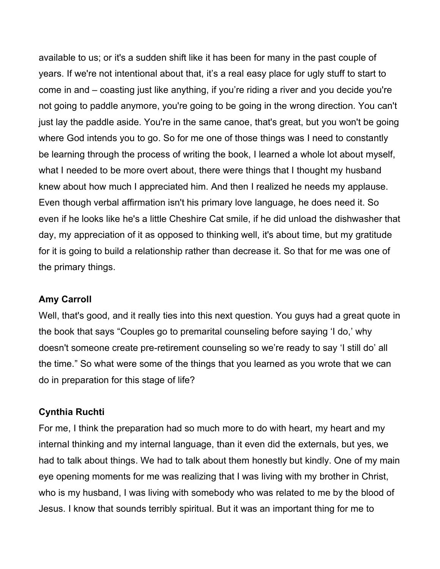available to us; or it's a sudden shift like it has been for many in the past couple of years. If we're not intentional about that, it's a real easy place for ugly stuff to start to come in and – coasting just like anything, if you're riding a river and you decide you're not going to paddle anymore, you're going to be going in the wrong direction. You can't just lay the paddle aside. You're in the same canoe, that's great, but you won't be going where God intends you to go. So for me one of those things was I need to constantly be learning through the process of writing the book, I learned a whole lot about myself, what I needed to be more overt about, there were things that I thought my husband knew about how much I appreciated him. And then I realized he needs my applause. Even though verbal affirmation isn't his primary love language, he does need it. So even if he looks like he's a little Cheshire Cat smile, if he did unload the dishwasher that day, my appreciation of it as opposed to thinking well, it's about time, but my gratitude for it is going to build a relationship rather than decrease it. So that for me was one of the primary things.

### **Amy Carroll**

Well, that's good, and it really ties into this next question. You guys had a great quote in the book that says "Couples go to premarital counseling before saying 'I do,' why doesn't someone create pre-retirement counseling so we're ready to say 'I still do' all the time." So what were some of the things that you learned as you wrote that we can do in preparation for this stage of life?

#### **Cynthia Ruchti**

For me, I think the preparation had so much more to do with heart, my heart and my internal thinking and my internal language, than it even did the externals, but yes, we had to talk about things. We had to talk about them honestly but kindly. One of my main eye opening moments for me was realizing that I was living with my brother in Christ, who is my husband, I was living with somebody who was related to me by the blood of Jesus. I know that sounds terribly spiritual. But it was an important thing for me to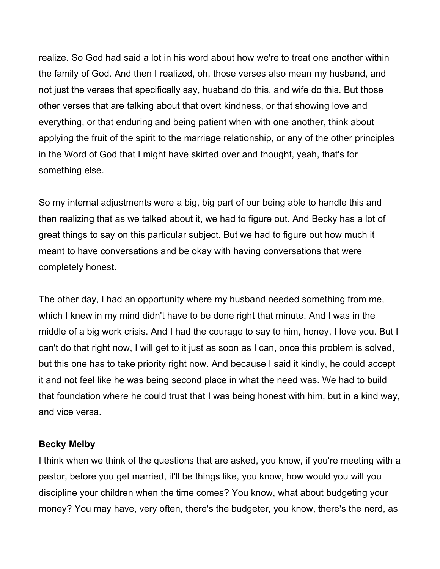realize. So God had said a lot in his word about how we're to treat one another within the family of God. And then I realized, oh, those verses also mean my husband, and not just the verses that specifically say, husband do this, and wife do this. But those other verses that are talking about that overt kindness, or that showing love and everything, or that enduring and being patient when with one another, think about applying the fruit of the spirit to the marriage relationship, or any of the other principles in the Word of God that I might have skirted over and thought, yeah, that's for something else.

So my internal adjustments were a big, big part of our being able to handle this and then realizing that as we talked about it, we had to figure out. And Becky has a lot of great things to say on this particular subject. But we had to figure out how much it meant to have conversations and be okay with having conversations that were completely honest.

The other day, I had an opportunity where my husband needed something from me, which I knew in my mind didn't have to be done right that minute. And I was in the middle of a big work crisis. And I had the courage to say to him, honey, I love you. But I can't do that right now, I will get to it just as soon as I can, once this problem is solved, but this one has to take priority right now. And because I said it kindly, he could accept it and not feel like he was being second place in what the need was. We had to build that foundation where he could trust that I was being honest with him, but in a kind way, and vice versa.

#### **Becky Melby**

I think when we think of the questions that are asked, you know, if you're meeting with a pastor, before you get married, it'll be things like, you know, how would you will you discipline your children when the time comes? You know, what about budgeting your money? You may have, very often, there's the budgeter, you know, there's the nerd, as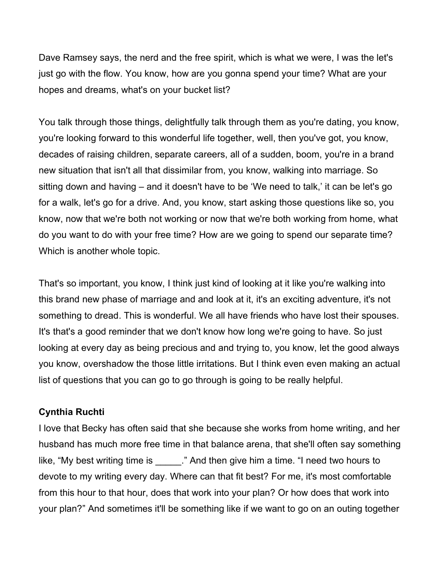Dave Ramsey says, the nerd and the free spirit, which is what we were, I was the let's just go with the flow. You know, how are you gonna spend your time? What are your hopes and dreams, what's on your bucket list?

You talk through those things, delightfully talk through them as you're dating, you know, you're looking forward to this wonderful life together, well, then you've got, you know, decades of raising children, separate careers, all of a sudden, boom, you're in a brand new situation that isn't all that dissimilar from, you know, walking into marriage. So sitting down and having – and it doesn't have to be 'We need to talk,' it can be let's go for a walk, let's go for a drive. And, you know, start asking those questions like so, you know, now that we're both not working or now that we're both working from home, what do you want to do with your free time? How are we going to spend our separate time? Which is another whole topic.

That's so important, you know, I think just kind of looking at it like you're walking into this brand new phase of marriage and and look at it, it's an exciting adventure, it's not something to dread. This is wonderful. We all have friends who have lost their spouses. It's that's a good reminder that we don't know how long we're going to have. So just looking at every day as being precious and and trying to, you know, let the good always you know, overshadow the those little irritations. But I think even even making an actual list of questions that you can go to go through is going to be really helpful.

### **Cynthia Ruchti**

I love that Becky has often said that she because she works from home writing, and her husband has much more free time in that balance arena, that she'll often say something like, "My best writing time is \_\_\_\_\_." And then give him a time. "I need two hours to devote to my writing every day. Where can that fit best? For me, it's most comfortable from this hour to that hour, does that work into your plan? Or how does that work into your plan?" And sometimes it'll be something like if we want to go on an outing together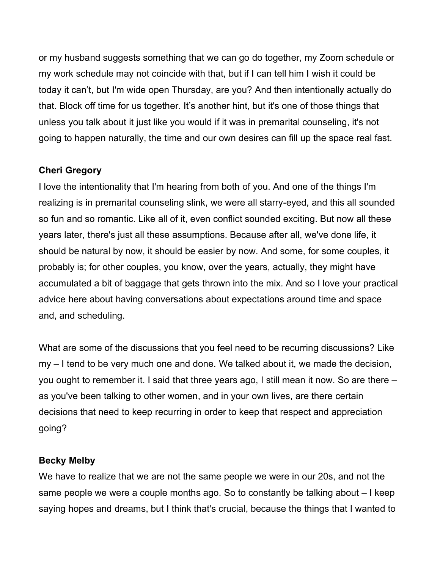or my husband suggests something that we can go do together, my Zoom schedule or my work schedule may not coincide with that, but if I can tell him I wish it could be today it can't, but I'm wide open Thursday, are you? And then intentionally actually do that. Block off time for us together. It's another hint, but it's one of those things that unless you talk about it just like you would if it was in premarital counseling, it's not going to happen naturally, the time and our own desires can fill up the space real fast.

### **Cheri Gregory**

I love the intentionality that I'm hearing from both of you. And one of the things I'm realizing is in premarital counseling slink, we were all starry-eyed, and this all sounded so fun and so romantic. Like all of it, even conflict sounded exciting. But now all these years later, there's just all these assumptions. Because after all, we've done life, it should be natural by now, it should be easier by now. And some, for some couples, it probably is; for other couples, you know, over the years, actually, they might have accumulated a bit of baggage that gets thrown into the mix. And so I love your practical advice here about having conversations about expectations around time and space and, and scheduling.

What are some of the discussions that you feel need to be recurring discussions? Like my – I tend to be very much one and done. We talked about it, we made the decision, you ought to remember it. I said that three years ago, I still mean it now. So are there – as you've been talking to other women, and in your own lives, are there certain decisions that need to keep recurring in order to keep that respect and appreciation going?

#### **Becky Melby**

We have to realize that we are not the same people we were in our 20s, and not the same people we were a couple months ago. So to constantly be talking about – I keep saying hopes and dreams, but I think that's crucial, because the things that I wanted to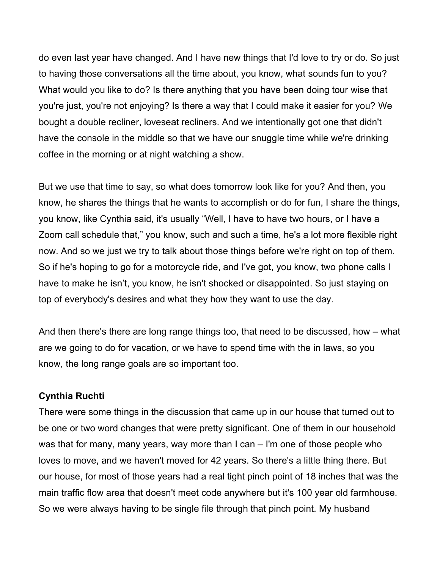do even last year have changed. And I have new things that I'd love to try or do. So just to having those conversations all the time about, you know, what sounds fun to you? What would you like to do? Is there anything that you have been doing tour wise that you're just, you're not enjoying? Is there a way that I could make it easier for you? We bought a double recliner, loveseat recliners. And we intentionally got one that didn't have the console in the middle so that we have our snuggle time while we're drinking coffee in the morning or at night watching a show.

But we use that time to say, so what does tomorrow look like for you? And then, you know, he shares the things that he wants to accomplish or do for fun, I share the things, you know, like Cynthia said, it's usually "Well, I have to have two hours, or I have a Zoom call schedule that," you know, such and such a time, he's a lot more flexible right now. And so we just we try to talk about those things before we're right on top of them. So if he's hoping to go for a motorcycle ride, and I've got, you know, two phone calls I have to make he isn't, you know, he isn't shocked or disappointed. So just staying on top of everybody's desires and what they how they want to use the day.

And then there's there are long range things too, that need to be discussed, how – what are we going to do for vacation, or we have to spend time with the in laws, so you know, the long range goals are so important too.

#### **Cynthia Ruchti**

There were some things in the discussion that came up in our house that turned out to be one or two word changes that were pretty significant. One of them in our household was that for many, many years, way more than I can – I'm one of those people who loves to move, and we haven't moved for 42 years. So there's a little thing there. But our house, for most of those years had a real tight pinch point of 18 inches that was the main traffic flow area that doesn't meet code anywhere but it's 100 year old farmhouse. So we were always having to be single file through that pinch point. My husband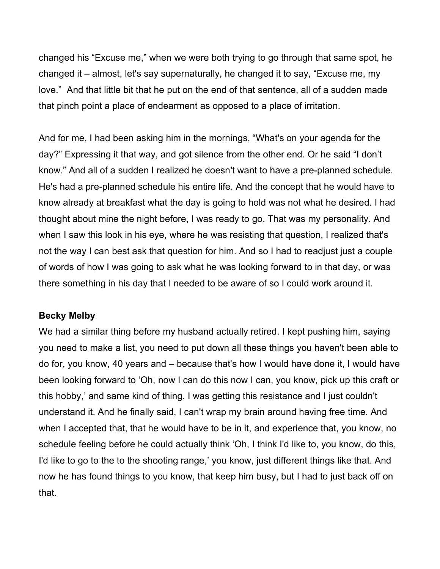changed his "Excuse me," when we were both trying to go through that same spot, he changed it – almost, let's say supernaturally, he changed it to say, "Excuse me, my love." And that little bit that he put on the end of that sentence, all of a sudden made that pinch point a place of endearment as opposed to a place of irritation.

And for me, I had been asking him in the mornings, "What's on your agenda for the day?" Expressing it that way, and got silence from the other end. Or he said "I don't know." And all of a sudden I realized he doesn't want to have a pre-planned schedule. He's had a pre-planned schedule his entire life. And the concept that he would have to know already at breakfast what the day is going to hold was not what he desired. I had thought about mine the night before, I was ready to go. That was my personality. And when I saw this look in his eye, where he was resisting that question, I realized that's not the way I can best ask that question for him. And so I had to readjust just a couple of words of how I was going to ask what he was looking forward to in that day, or was there something in his day that I needed to be aware of so I could work around it.

#### **Becky Melby**

We had a similar thing before my husband actually retired. I kept pushing him, saying you need to make a list, you need to put down all these things you haven't been able to do for, you know, 40 years and – because that's how I would have done it, I would have been looking forward to 'Oh, now I can do this now I can, you know, pick up this craft or this hobby,' and same kind of thing. I was getting this resistance and I just couldn't understand it. And he finally said, I can't wrap my brain around having free time. And when I accepted that, that he would have to be in it, and experience that, you know, no schedule feeling before he could actually think 'Oh, I think I'd like to, you know, do this, I'd like to go to the to the shooting range,' you know, just different things like that. And now he has found things to you know, that keep him busy, but I had to just back off on that.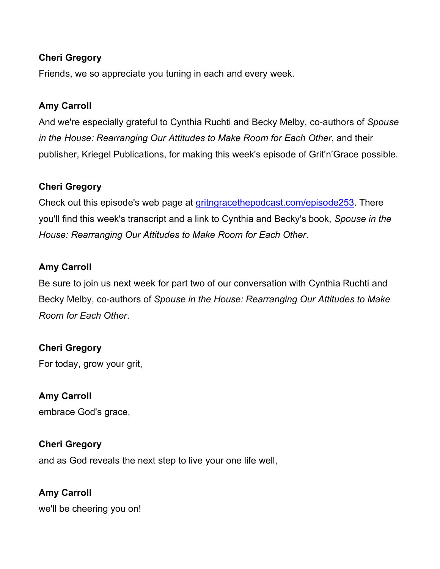## **Cheri Gregory**

Friends, we so appreciate you tuning in each and every week.

## **Amy Carroll**

And we're especially grateful to Cynthia Ruchti and Becky Melby, co-authors of *Spouse in the House: Rearranging Our Attitudes to Make Room for Each Other*, and their publisher, Kriegel Publications, for making this week's episode of Grit'n'Grace possible.

## **Cheri Gregory**

Check out this episode's web page at gritngracethepodcast.com/episode253. There you'll find this week's transcript and a link to Cynthia and Becky's book, *Spouse in the House: Rearranging Our Attitudes to Make Room for Each Other*.

## **Amy Carroll**

Be sure to join us next week for part two of our conversation with Cynthia Ruchti and Becky Melby, co-authors of *Spouse in the House: Rearranging Our Attitudes to Make Room for Each Other*.

### **Cheri Gregory**

For today, grow your grit,

## **Amy Carroll**

embrace God's grace,

### **Cheri Gregory**

and as God reveals the next step to live your one life well,

## **Amy Carroll**

we'll be cheering you on!